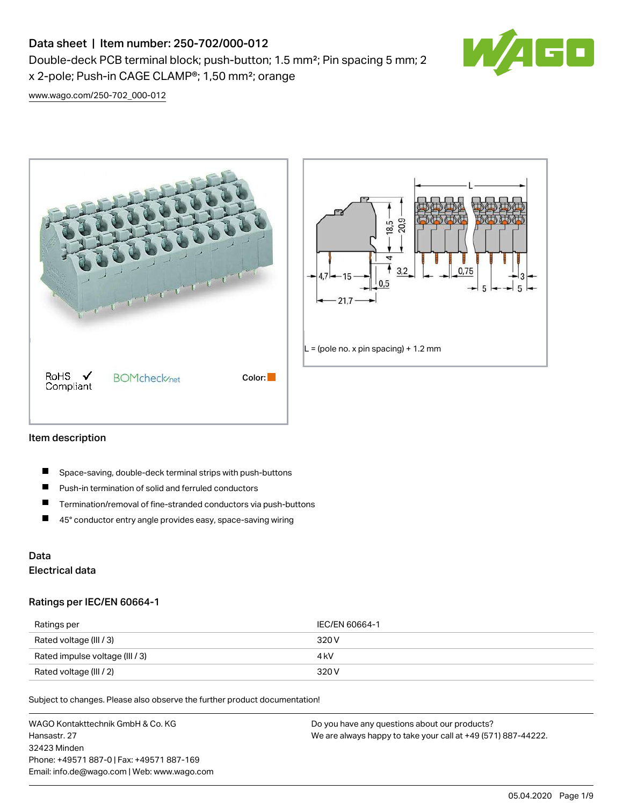# Data sheet | Item number: 250-702/000-012

x 2-pole; Push-in CAGE CLAMP®; 1,50 mm²; orange

Double-deck PCB terminal block; push-button; 1.5 mm²; Pin spacing 5 mm; 2



[www.wago.com/250-702\\_000-012](http://www.wago.com/250-702_000-012)





## Item description

- П Space-saving, double-deck terminal strips with push-buttons
- $\blacksquare$ Push-in termination of solid and ferruled conductors
- $\blacksquare$ Termination/removal of fine-stranded conductors via push-buttons
- $\blacksquare$ 45° conductor entry angle provides easy, space-saving wiring

# Data Electrical data

## Ratings per IEC/EN 60664-1

| Ratings per                     | IEC/EN 60664-1 |
|---------------------------------|----------------|
| Rated voltage (III / 3)         | 320 V          |
| Rated impulse voltage (III / 3) | 4 kV           |
| Rated voltage (III / 2)         | 320 V          |

Subject to changes. Please also observe the further product documentation!

WAGO Kontakttechnik GmbH & Co. KG Hansastr. 27 32423 Minden Phone: +49571 887-0 | Fax: +49571 887-169 Email: info.de@wago.com | Web: www.wago.com Do you have any questions about our products? We are always happy to take your call at +49 (571) 887-44222.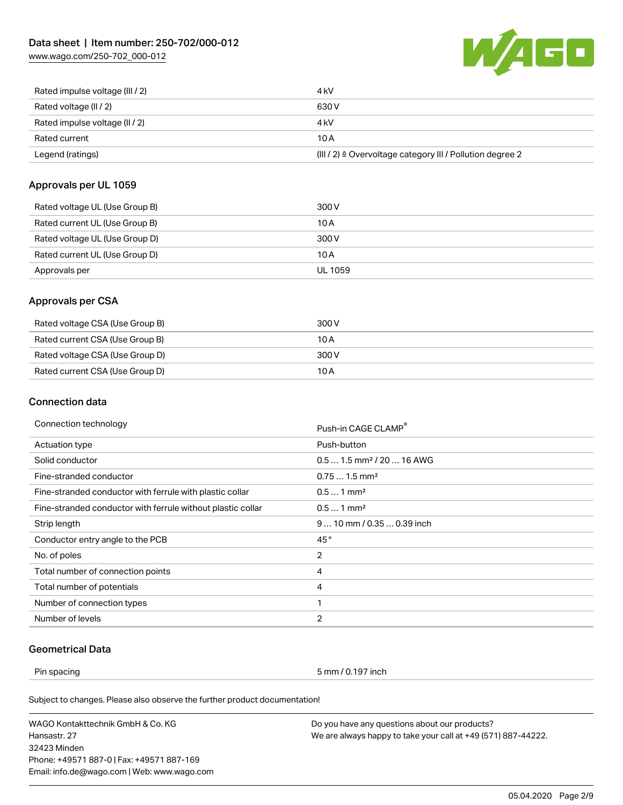[www.wago.com/250-702\\_000-012](http://www.wago.com/250-702_000-012)



| Rated impulse voltage (III / 2) | 4 <sub>k</sub> V                                                      |
|---------------------------------|-----------------------------------------------------------------------|
| Rated voltage (II / 2)          | 630 V                                                                 |
| Rated impulse voltage (II / 2)  | 4 kV                                                                  |
| Rated current                   | 10 A                                                                  |
| Legend (ratings)                | $(III / 2)$ $\triangle$ Overvoltage category III / Pollution degree 2 |

# Approvals per UL 1059

| Rated voltage UL (Use Group B) | 300 V          |
|--------------------------------|----------------|
| Rated current UL (Use Group B) | 10 A           |
| Rated voltage UL (Use Group D) | 300 V          |
| Rated current UL (Use Group D) | 10 A           |
| Approvals per                  | <b>UL 1059</b> |

# Approvals per CSA

| Rated voltage CSA (Use Group B) | 300 V |
|---------------------------------|-------|
| Rated current CSA (Use Group B) | 10 A  |
| Rated voltage CSA (Use Group D) | 300 V |
| Rated current CSA (Use Group D) | 10 A  |

# Connection data

| Push-in CAGE CLAMP®                   |
|---------------------------------------|
| Push-button                           |
| $0.51.5$ mm <sup>2</sup> / 20  16 AWG |
| $0.751.5$ mm <sup>2</sup>             |
| $0.51$ mm <sup>2</sup>                |
| $0.51$ mm <sup>2</sup>                |
| $910$ mm / 0.35  0.39 inch            |
| 45°                                   |
| $\overline{2}$                        |
| 4                                     |
| 4                                     |
| 1                                     |
| $\overline{2}$                        |
|                                       |

# Geometrical Data

Pin spacing 5 mm / 0.197 inch

Subject to changes. Please also observe the further product documentation!

WAGO Kontakttechnik GmbH & Co. KG Hansastr. 27 32423 Minden Phone: +49571 887-0 | Fax: +49571 887-169 Email: info.de@wago.com | Web: www.wago.com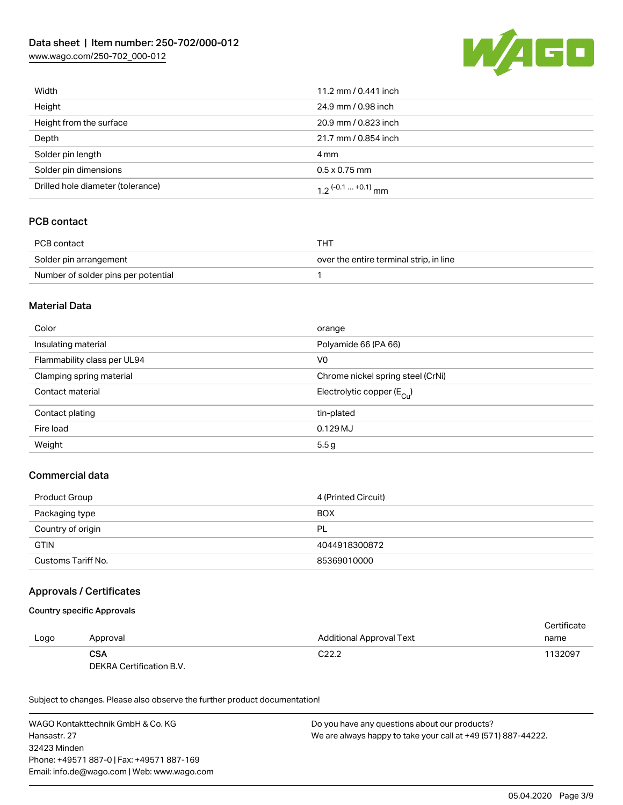# Data sheet | Item number: 250-702/000-012

[www.wago.com/250-702\\_000-012](http://www.wago.com/250-702_000-012)



| Width                             | 11.2 mm / 0.441 inch         |
|-----------------------------------|------------------------------|
| Height                            | 24.9 mm / 0.98 inch          |
| Height from the surface           | 20.9 mm / 0.823 inch         |
| Depth                             | 21.7 mm / 0.854 inch         |
| Solder pin length                 | 4 mm                         |
| Solder pin dimensions             | $0.5 \times 0.75$ mm         |
| Drilled hole diameter (tolerance) | $1.2$ $(-0.1 \dots +0.1)$ mm |

# PCB contact

| PCB contact                         | THT.                                    |
|-------------------------------------|-----------------------------------------|
| Solder pin arrangement              | over the entire terminal strip, in line |
| Number of solder pins per potential |                                         |

## Material Data

| Color                       | orange                                  |
|-----------------------------|-----------------------------------------|
| Insulating material         | Polyamide 66 (PA 66)                    |
| Flammability class per UL94 | V0                                      |
| Clamping spring material    | Chrome nickel spring steel (CrNi)       |
| Contact material            | Electrolytic copper ( $E_{\text{Cu}}$ ) |
| Contact plating             | tin-plated                              |
| Fire load                   | $0.129$ MJ                              |
| Weight                      | 5.5 <sub>g</sub>                        |

# Commercial data

| Product Group      | 4 (Printed Circuit) |
|--------------------|---------------------|
| Packaging type     | <b>BOX</b>          |
| Country of origin  | <b>PL</b>           |
| <b>GTIN</b>        | 4044918300872       |
| Customs Tariff No. | 85369010000         |

## Approvals / Certificates

## Country specific Approvals

|      |                          |                                 | Certificate |
|------|--------------------------|---------------------------------|-------------|
| Logo | Approval                 | <b>Additional Approval Text</b> | name        |
|      | <b>CSA</b>               | C <sub>22.2</sub>               | 1132097     |
|      | DEKRA Certification B.V. |                                 |             |

Subject to changes. Please also observe the further product documentation!

WAGO Kontakttechnik GmbH & Co. KG Hansastr. 27 32423 Minden Phone: +49571 887-0 | Fax: +49571 887-169 Email: info.de@wago.com | Web: www.wago.com Do you have any questions about our products? We are always happy to take your call at +49 (571) 887-44222.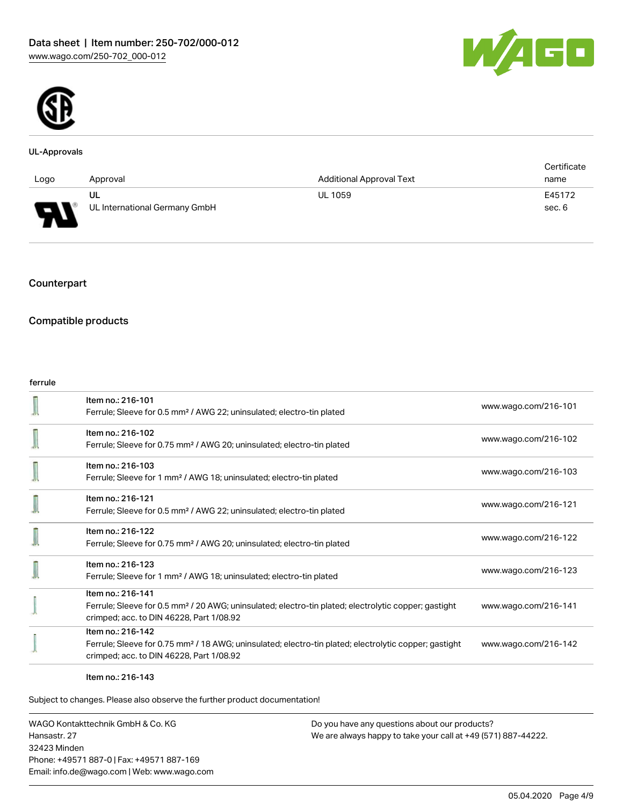



#### UL-Approvals

|                               |                               |                                 | Certificate |
|-------------------------------|-------------------------------|---------------------------------|-------------|
| Logo                          | Approval                      | <b>Additional Approval Text</b> | name        |
|                               | UL                            | <b>UL 1059</b>                  | E45172      |
| Б<br>$\overline{\phantom{a}}$ | UL International Germany GmbH |                                 | sec. 6      |

## Counterpart

# Compatible products

#### ferrule

| Item no.: 216-101<br>Ferrule; Sleeve for 0.5 mm <sup>2</sup> / AWG 22; uninsulated; electro-tin plated                                                                             | www.wago.com/216-101 |
|------------------------------------------------------------------------------------------------------------------------------------------------------------------------------------|----------------------|
| Item no.: 216-102<br>Ferrule; Sleeve for 0.75 mm <sup>2</sup> / AWG 20; uninsulated; electro-tin plated                                                                            | www.wago.com/216-102 |
| Item no.: 216-103<br>Ferrule; Sleeve for 1 mm <sup>2</sup> / AWG 18; uninsulated; electro-tin plated                                                                               | www.wago.com/216-103 |
| Item no.: 216-121<br>Ferrule; Sleeve for 0.5 mm <sup>2</sup> / AWG 22; uninsulated; electro-tin plated                                                                             | www.wago.com/216-121 |
| Item no.: 216-122<br>Ferrule; Sleeve for 0.75 mm <sup>2</sup> / AWG 20; uninsulated; electro-tin plated                                                                            | www.wago.com/216-122 |
| Item no.: 216-123<br>Ferrule; Sleeve for 1 mm <sup>2</sup> / AWG 18; uninsulated; electro-tin plated                                                                               | www.wago.com/216-123 |
| Item no.: 216-141<br>Ferrule; Sleeve for 0.5 mm <sup>2</sup> / 20 AWG; uninsulated; electro-tin plated; electrolytic copper; gastight<br>crimped; acc. to DIN 46228, Part 1/08.92  | www.wago.com/216-141 |
| Item no.: 216-142<br>Ferrule; Sleeve for 0.75 mm <sup>2</sup> / 18 AWG; uninsulated; electro-tin plated; electrolytic copper; gastight<br>crimped; acc. to DIN 46228, Part 1/08.92 | www.wago.com/216-142 |

#### Item no.: 216-143

Subject to changes. Please also observe the further product documentation!

WAGO Kontakttechnik GmbH & Co. KG Hansastr. 27 32423 Minden Phone: +49571 887-0 | Fax: +49571 887-169 Email: info.de@wago.com | Web: www.wago.com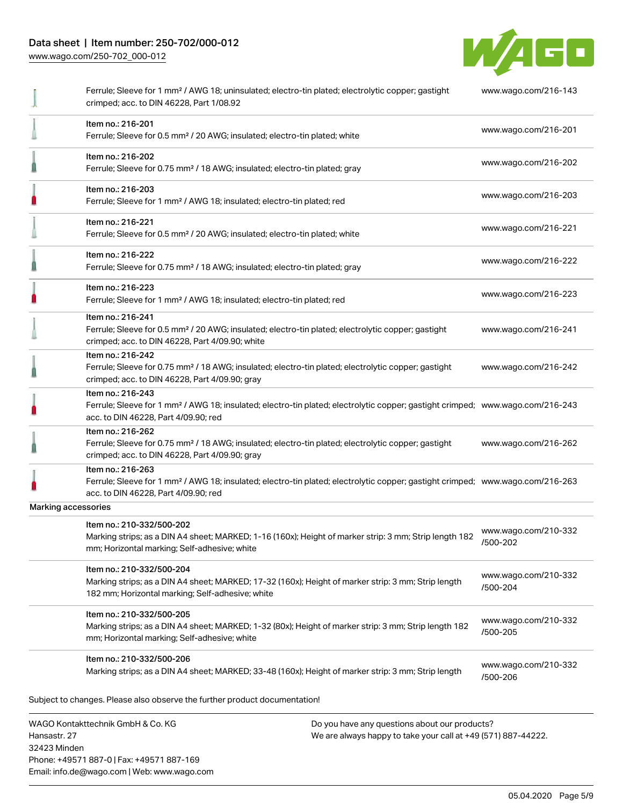# Data sheet | Item number: 250-702/000-012

[www.wago.com/250-702\\_000-012](http://www.wago.com/250-702_000-012)

32423 Minden

Phone: +49571 887-0 | Fax: +49571 887-169 Email: info.de@wago.com | Web: www.wago.com



|                                                   | Ferrule; Sleeve for 1 mm <sup>2</sup> / AWG 18; uninsulated; electro-tin plated; electrolytic copper; gastight<br>crimped; acc. to DIN 46228, Part 1/08.92                                              |                                                                                                                | www.wago.com/216-143             |  |
|---------------------------------------------------|---------------------------------------------------------------------------------------------------------------------------------------------------------------------------------------------------------|----------------------------------------------------------------------------------------------------------------|----------------------------------|--|
|                                                   | Item no.: 216-201<br>Ferrule; Sleeve for 0.5 mm <sup>2</sup> / 20 AWG; insulated; electro-tin plated; white                                                                                             |                                                                                                                | www.wago.com/216-201             |  |
|                                                   | Item no.: 216-202<br>Ferrule; Sleeve for 0.75 mm <sup>2</sup> / 18 AWG; insulated; electro-tin plated; gray                                                                                             |                                                                                                                | www.wago.com/216-202             |  |
|                                                   | Item no.: 216-203<br>Ferrule; Sleeve for 1 mm <sup>2</sup> / AWG 18; insulated; electro-tin plated; red                                                                                                 |                                                                                                                | www.wago.com/216-203             |  |
|                                                   | Item no.: 216-221<br>Ferrule; Sleeve for 0.5 mm <sup>2</sup> / 20 AWG; insulated; electro-tin plated; white                                                                                             |                                                                                                                | www.wago.com/216-221             |  |
|                                                   | Item no.: 216-222<br>Ferrule; Sleeve for 0.75 mm <sup>2</sup> / 18 AWG; insulated; electro-tin plated; gray                                                                                             |                                                                                                                | www.wago.com/216-222             |  |
|                                                   | Item no.: 216-223<br>Ferrule; Sleeve for 1 mm <sup>2</sup> / AWG 18; insulated; electro-tin plated; red                                                                                                 |                                                                                                                | www.wago.com/216-223             |  |
|                                                   | Item no.: 216-241<br>Ferrule; Sleeve for 0.5 mm <sup>2</sup> / 20 AWG; insulated; electro-tin plated; electrolytic copper; gastight<br>crimped; acc. to DIN 46228, Part 4/09.90; white                  |                                                                                                                | www.wago.com/216-241             |  |
|                                                   | Item no.: 216-242<br>Ferrule; Sleeve for 0.75 mm <sup>2</sup> / 18 AWG; insulated; electro-tin plated; electrolytic copper; gastight<br>crimped; acc. to DIN 46228, Part 4/09.90; gray                  |                                                                                                                | www.wago.com/216-242             |  |
|                                                   | Item no.: 216-243<br>Ferrule; Sleeve for 1 mm <sup>2</sup> / AWG 18; insulated; electro-tin plated; electrolytic copper; gastight crimped; www.wago.com/216-243<br>acc. to DIN 46228, Part 4/09.90; red |                                                                                                                |                                  |  |
|                                                   | Item no.: 216-262<br>Ferrule; Sleeve for 0.75 mm <sup>2</sup> / 18 AWG; insulated; electro-tin plated; electrolytic copper; gastight<br>crimped; acc. to DIN 46228, Part 4/09.90; gray                  |                                                                                                                | www.wago.com/216-262             |  |
|                                                   | Item no.: 216-263<br>Ferrule; Sleeve for 1 mm <sup>2</sup> / AWG 18; insulated; electro-tin plated; electrolytic copper; gastight crimped; www.wago.com/216-263<br>acc. to DIN 46228, Part 4/09.90; red |                                                                                                                |                                  |  |
| Marking accessories                               |                                                                                                                                                                                                         |                                                                                                                |                                  |  |
|                                                   | Item no.: 210-332/500-202<br>Marking strips; as a DIN A4 sheet; MARKED; 1-16 (160x); Height of marker strip: 3 mm; Strip length 182<br>mm; Horizontal marking; Self-adhesive; white                     |                                                                                                                | www.wago.com/210-332<br>/500-202 |  |
|                                                   | Item no.: 210-332/500-204<br>Marking strips; as a DIN A4 sheet; MARKED; 17-32 (160x); Height of marker strip: 3 mm; Strip length<br>182 mm; Horizontal marking; Self-adhesive; white                    |                                                                                                                | www.wago.com/210-332<br>/500-204 |  |
|                                                   | Item no.: 210-332/500-205<br>Marking strips; as a DIN A4 sheet; MARKED; 1-32 (80x); Height of marker strip: 3 mm; Strip length 182<br>mm; Horizontal marking; Self-adhesive; white                      |                                                                                                                | www.wago.com/210-332<br>/500-205 |  |
|                                                   | Item no.: 210-332/500-206<br>Marking strips; as a DIN A4 sheet; MARKED; 33-48 (160x); Height of marker strip: 3 mm; Strip length                                                                        |                                                                                                                | www.wago.com/210-332<br>/500-206 |  |
|                                                   | Subject to changes. Please also observe the further product documentation!                                                                                                                              |                                                                                                                |                                  |  |
| WAGO Kontakttechnik GmbH & Co. KG<br>Hansastr. 27 |                                                                                                                                                                                                         | Do you have any questions about our products?<br>We are always happy to take your call at +49 (571) 887-44222. |                                  |  |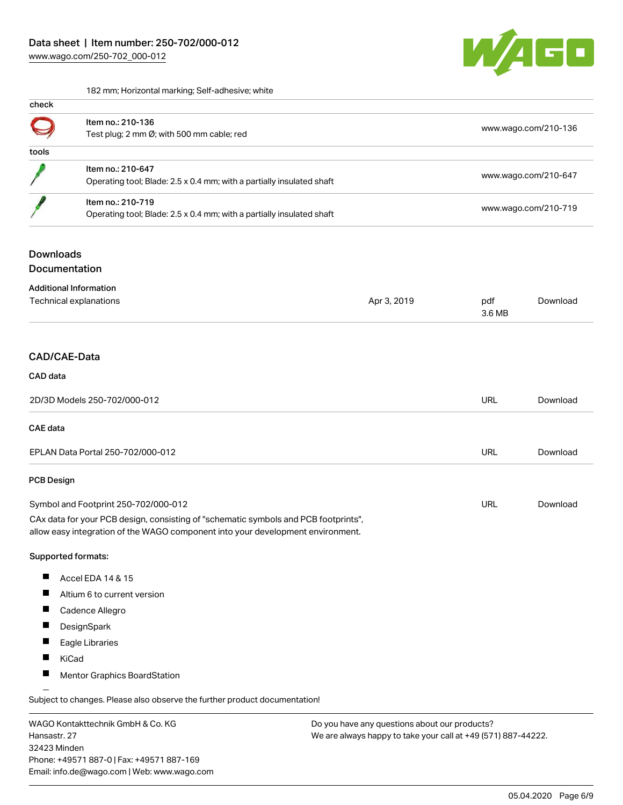

182 mm; Horizontal marking; Self-adhesive; white

| check |                                                                                            |                      |
|-------|--------------------------------------------------------------------------------------------|----------------------|
|       | Item no.: 210-136<br>Test plug; 2 mm $\emptyset$ ; with 500 mm cable; red                  | www.wago.com/210-136 |
| tools |                                                                                            |                      |
|       | Item no.: 210-647<br>Operating tool; Blade: 2.5 x 0.4 mm; with a partially insulated shaft | www.wago.com/210-647 |
|       | Item no.: 210-719<br>Operating tool; Blade: 2.5 x 0.4 mm; with a partially insulated shaft | www.wago.com/210-719 |

# **Downloads**

**Documentation** 

| <b>Additional Information</b>     |             |               |          |  |  |  |
|-----------------------------------|-------------|---------------|----------|--|--|--|
| Technical explanations            | Apr 3, 2019 | pdf<br>3.6 MB | Download |  |  |  |
|                                   |             |               |          |  |  |  |
| CAD/CAE-Data                      |             |               |          |  |  |  |
| <b>CAD</b> data                   |             |               |          |  |  |  |
| 2D/3D Models 250-702/000-012      |             | URL           | Download |  |  |  |
| <b>CAE</b> data                   |             |               |          |  |  |  |
| EPLAN Data Portal 250-702/000-012 |             | URL           | Download |  |  |  |

## PCB Design

Symbol and Footprint 250-702/000-012 CAx data for your PCB design, consisting of "schematic symbols and PCB footprints", URL [Download](https://www.wago.com/de/d/UltraLibrarian_URLS_250-702_000-012)

allow easy integration of the WAGO component into your development environment.

## Supported formats:

- $\blacksquare$ Accel EDA 14 & 15
- $\blacksquare$ Altium 6 to current version
- $\blacksquare$ Cadence Allegro
- $\blacksquare$ **DesignSpark**
- $\blacksquare$ Eagle Libraries
- $\blacksquare$ KiCad
- $\blacksquare$ Mentor Graphics BoardStation

Subject to changes. Please also observe the further product documentation!

WAGO Kontakttechnik GmbH & Co. KG Hansastr. 27 32423 Minden Phone: +49571 887-0 | Fax: +49571 887-169 Email: info.de@wago.com | Web: www.wago.com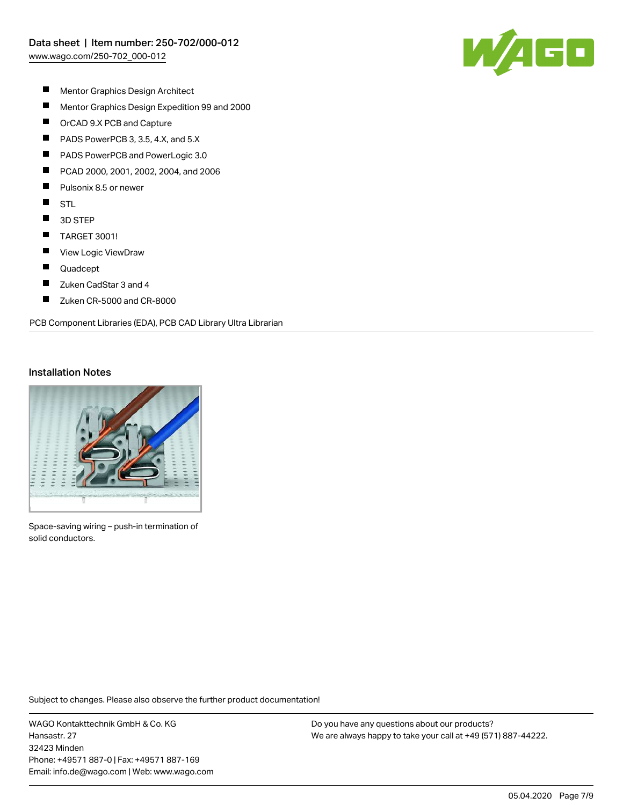

- $\blacksquare$ Mentor Graphics Design Architect
- $\blacksquare$ Mentor Graphics Design Expedition 99 and 2000
- $\blacksquare$ OrCAD 9.X PCB and Capture
- $\blacksquare$ PADS PowerPCB 3, 3.5, 4.X, and 5.X
- П PADS PowerPCB and PowerLogic 3.0
- П PCAD 2000, 2001, 2002, 2004, and 2006
- П Pulsonix 8.5 or newer
- $\blacksquare$ STL
- $\blacksquare$ 3D STEP
- $\blacksquare$ TARGET 3001!
- $\blacksquare$ View Logic ViewDraw
- $\blacksquare$ Quadcept
- $\blacksquare$ Zuken CadStar 3 and 4
- $\blacksquare$ Zuken CR-5000 and CR-8000

PCB Component Libraries (EDA), PCB CAD Library Ultra Librarian

## Installation Notes



Space-saving wiring – push-in termination of solid conductors.

Subject to changes. Please also observe the further product documentation!

WAGO Kontakttechnik GmbH & Co. KG Hansastr. 27 32423 Minden Phone: +49571 887-0 | Fax: +49571 887-169 Email: info.de@wago.com | Web: www.wago.com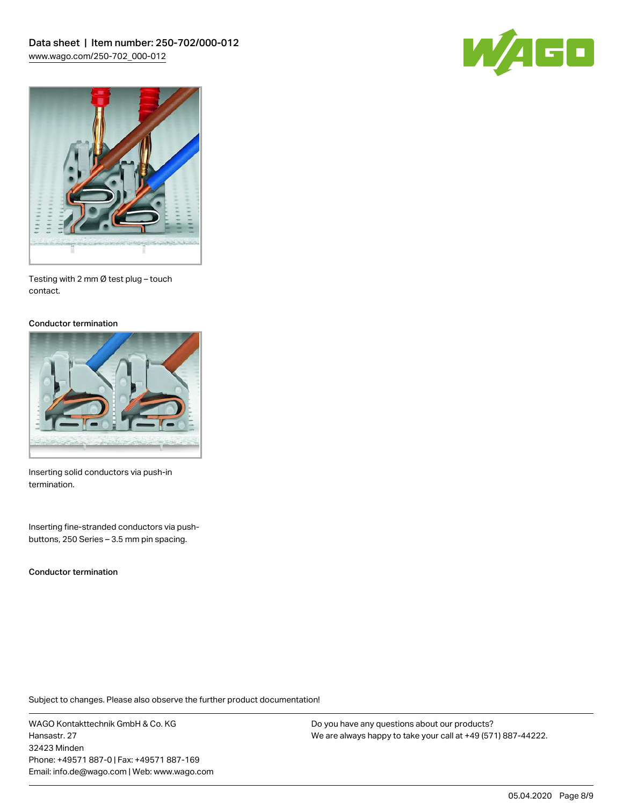



Testing with 2 mm Ø test plug – touch contact.

#### Conductor termination



Inserting solid conductors via push-in termination.

Inserting fine-stranded conductors via pushbuttons, 250 Series – 3.5 mm pin spacing.

Conductor termination

Subject to changes. Please also observe the further product documentation!

WAGO Kontakttechnik GmbH & Co. KG Hansastr. 27 32423 Minden Phone: +49571 887-0 | Fax: +49571 887-169 Email: info.de@wago.com | Web: www.wago.com